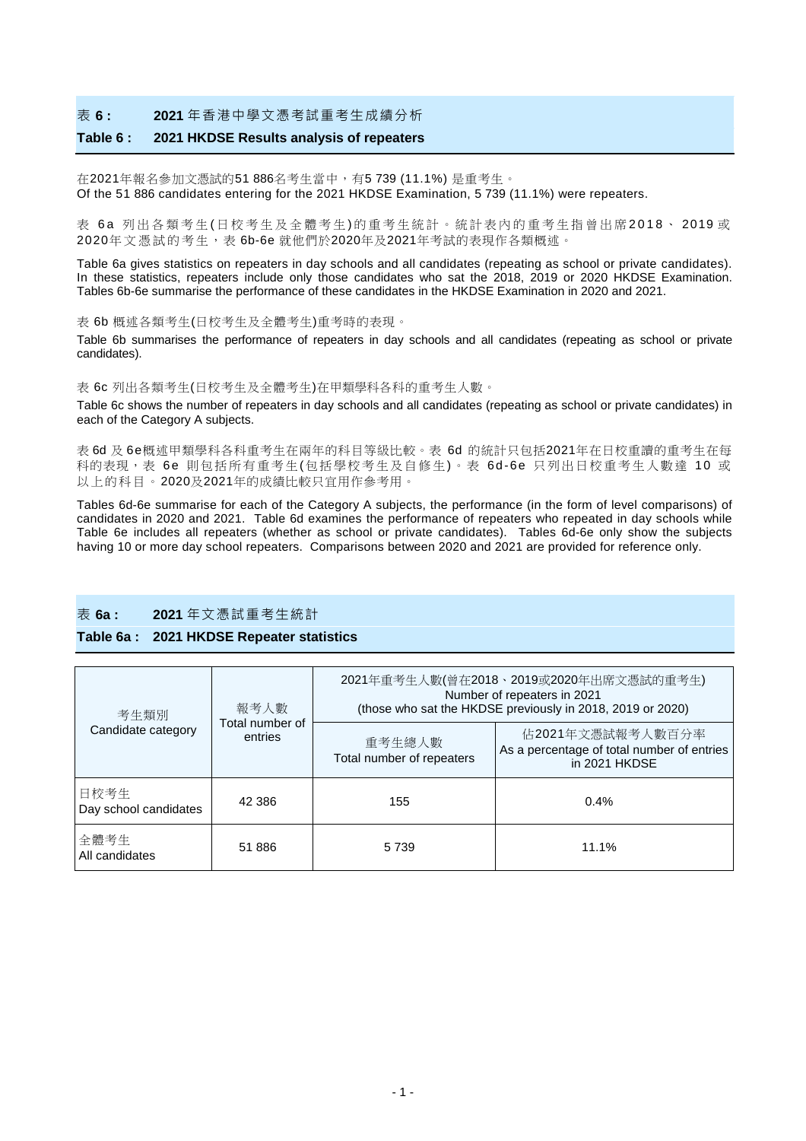#### 表 **6 : 2021** 年香港中學文憑考試重考生成績分析

### **Table 6 : 2021 HKDSE Results analysis of repeaters**

在2021年報名參加文憑試的51 886名考生當中,有5 739 (11.1%) 是重考生。 Of the 51 886 candidates entering for the 2021 HKDSE Examination, 5 739 (11.1%) were repeaters.

表 6a 列出各類考生(日校考生及全體考生)的重考生統計。統計表內的重考生指曾出席2018、2019 或 2020年 文憑試 的 考 生,表 6b-6e 就他們於2020年及2021年考試的表現作各類概述。

Table 6a gives statistics on repeaters in day schools and all candidates (repeating as school or private candidates). In these statistics, repeaters include only those candidates who sat the 2018, 2019 or 2020 HKDSE Examination. Tables 6b-6e summarise the performance of these candidates in the HKDSE Examination in 2020 and 2021.

表 6b 概述各類考生(日校考生及全體考生)重考時的表現。

Table 6b summarises the performance of repeaters in day schools and all candidates (repeating as school or private candidates).

表 6c 列出各類考生(日校考生及全體考生)在甲類學科各科的重考生人數。

Table 6c shows the number of repeaters in day schools and all candidates (repeating as school or private candidates) in each of the Category A subjects.

表 6d 及 6e概述甲類學科各科重考生在兩年的科目等級比較。表 6d 的統計只包括2021年在日校重讀的重考生在每 科的表現,表 6e 則包括所有重考生(包括學校考生及自修生)。表 6d-6e 只列出日校重考生人數達 10 或 以上的科目。2020及2021年的成績比較只宜用作參考用。

Tables 6d-6e summarise for each of the Category A subjects, the performance (in the form of level comparisons) of candidates in 2020 and 2021. Table 6d examines the performance of repeaters who repeated in day schools while Table 6e includes all repeaters (whether as school or private candidates). Tables 6d-6e only show the subjects having 10 or more day school repeaters. Comparisons between 2020 and 2021 are provided for reference only.

### 表 **6a : 2021** 年文憑試重考生統計

#### **Table 6a : 2021 HKDSE Repeater statistics**

| 考生類別<br>Candidate category    | 報考人數                       | 2021年重考生人數(曾在2018、2019或2020年出席文憑試的重考生)<br>Number of repeaters in 2021<br>(those who sat the HKDSE previously in 2018, 2019 or 2020) |                                                                                 |  |  |  |  |
|-------------------------------|----------------------------|-------------------------------------------------------------------------------------------------------------------------------------|---------------------------------------------------------------------------------|--|--|--|--|
|                               | Total number of<br>entries | 重考生總人數<br>Total number of repeaters                                                                                                 | 佔2021年文憑試報考人數百分率<br>As a percentage of total number of entries<br>in 2021 HKDSE |  |  |  |  |
| 日校考生<br>Day school candidates | 42 386                     | 155                                                                                                                                 | $0.4\%$                                                                         |  |  |  |  |
| 全體考生<br>All candidates        | 51 886                     | 5739                                                                                                                                | 11.1%                                                                           |  |  |  |  |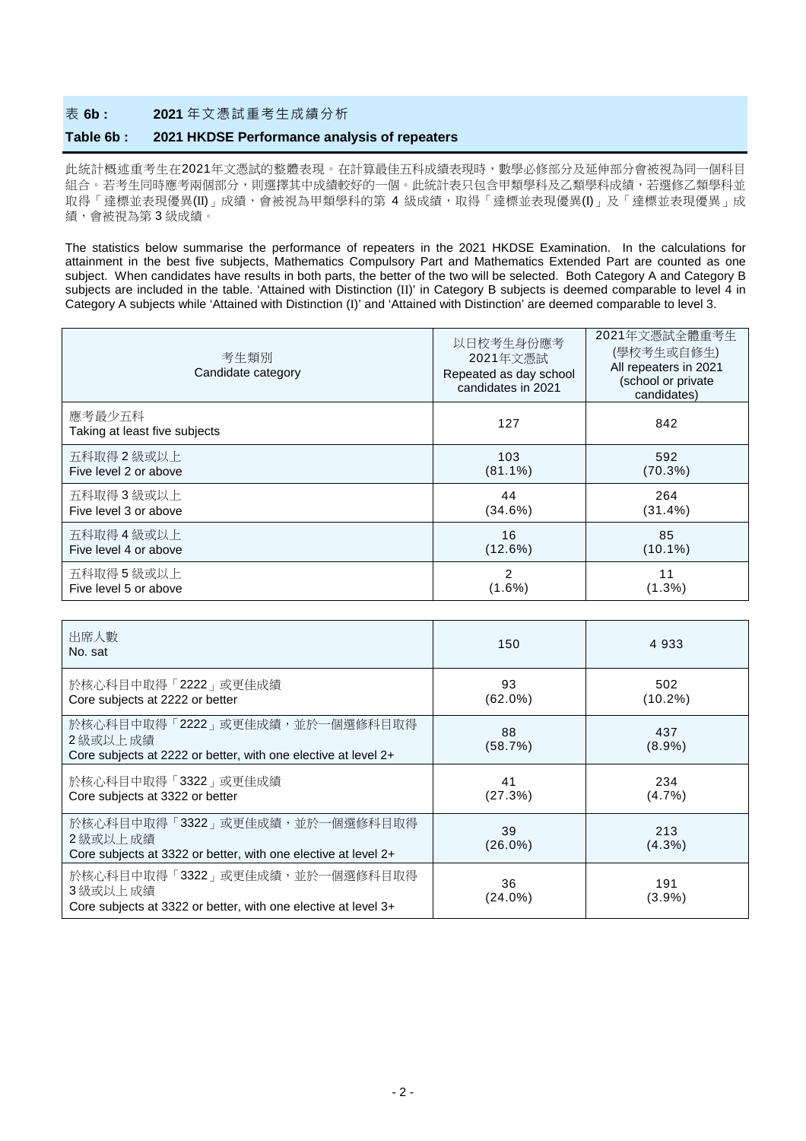### 表 **6b : 2021** 年文憑試重考生成績分析

#### **Table 6b : 2021 HKDSE Performance analysis of repeaters**

此統計概述重考生在2021年文憑試的整體表現。在計算最佳五科成績表現時,數學必修部分及延伸部分會被視為同一個科目 組合。若考生同時應考兩個部分,則選擇其中成績較好的一個。此統計表只包含甲類學科及乙類學科成績,若選修乙類學科並 取得「達標並表現優異(II)」成績,會被視為甲類學科的第 4 級成績,取得「達標並表現優異(I)」及「達標並表現優異」成 績,會被視為第 3 級成績。

The statistics below summarise the performance of repeaters in the 2021 HKDSE Examination. In the calculations for attainment in the best five subjects, Mathematics Compulsory Part and Mathematics Extended Part are counted as one subject. When candidates have results in both parts, the better of the two will be selected. Both Category A and Category B subjects are included in the table. 'Attained with Distinction (II)' in Category B subjects is deemed comparable to level 4 in Category A subjects while 'Attained with Distinction (I)' and 'Attained with Distinction' are deemed comparable to level 3.

| 考生類別<br>Candidate category              | 以日校考生身份應考<br>2021年文憑試<br>Repeated as day school<br>candidates in 2021 | 2021年文憑試全體重考生<br>(學校考生或自修生)<br>All repeaters in 2021<br>(school or private<br>candidates) |
|-----------------------------------------|-----------------------------------------------------------------------|-------------------------------------------------------------------------------------------|
| 應考最少五科<br>Taking at least five subjects | 127                                                                   | 842                                                                                       |
| 五科取得 2 級或以上                             | 103                                                                   | 592                                                                                       |
| Five level 2 or above                   | $(81.1\%)$                                                            | (70.3%)                                                                                   |
| 五科取得 3 級或以上                             | 44                                                                    | 264                                                                                       |
| Five level 3 or above                   | (34.6%)                                                               | $(31.4\%)$                                                                                |
| 五科取得 4 級或以上                             | 16                                                                    | 85                                                                                        |
| Five level 4 or above                   | (12.6%)                                                               | $(10.1\%)$                                                                                |
| 五科取得5級或以上                               | $\overline{2}$                                                        | 11                                                                                        |
| Five level 5 or above                   | $(1.6\%)$                                                             | $(1.3\%)$                                                                                 |

| 出席人數<br>No. sat                                                                                               | 150              | 4 9 3 3           |
|---------------------------------------------------------------------------------------------------------------|------------------|-------------------|
| 於核心科目中取得「2222」或更佳成績<br>Core subjects at 2222 or better                                                        | 93<br>$(62.0\%)$ | 502<br>$(10.2\%)$ |
| 於核心科目中取得「2222」或更佳成績,並於一個選修科目取得<br>2 級或以上 成績<br>Core subjects at 2222 or better, with one elective at level 2+ | 88<br>(58.7%)    | 437<br>$(8.9\%)$  |
| 於核心科目中取得「3322」或更佳成績<br>Core subjects at 3322 or better                                                        | 41<br>(27.3%)    | 234<br>(4.7%)     |
| 於核心科目中取得「3322」或更佳成績,並於一個選修科目取得<br>2 級或以上 成績<br>Core subjects at 3322 or better, with one elective at level 2+ | 39<br>$(26.0\%)$ | 213<br>(4.3%)     |
| 於核心科目中取得「3322」或更佳成績,並於一個選修科目取得<br>3 級或以上 成績<br>Core subjects at 3322 or better, with one elective at level 3+ | 36<br>(24.0%)    | 191<br>(3.9%)     |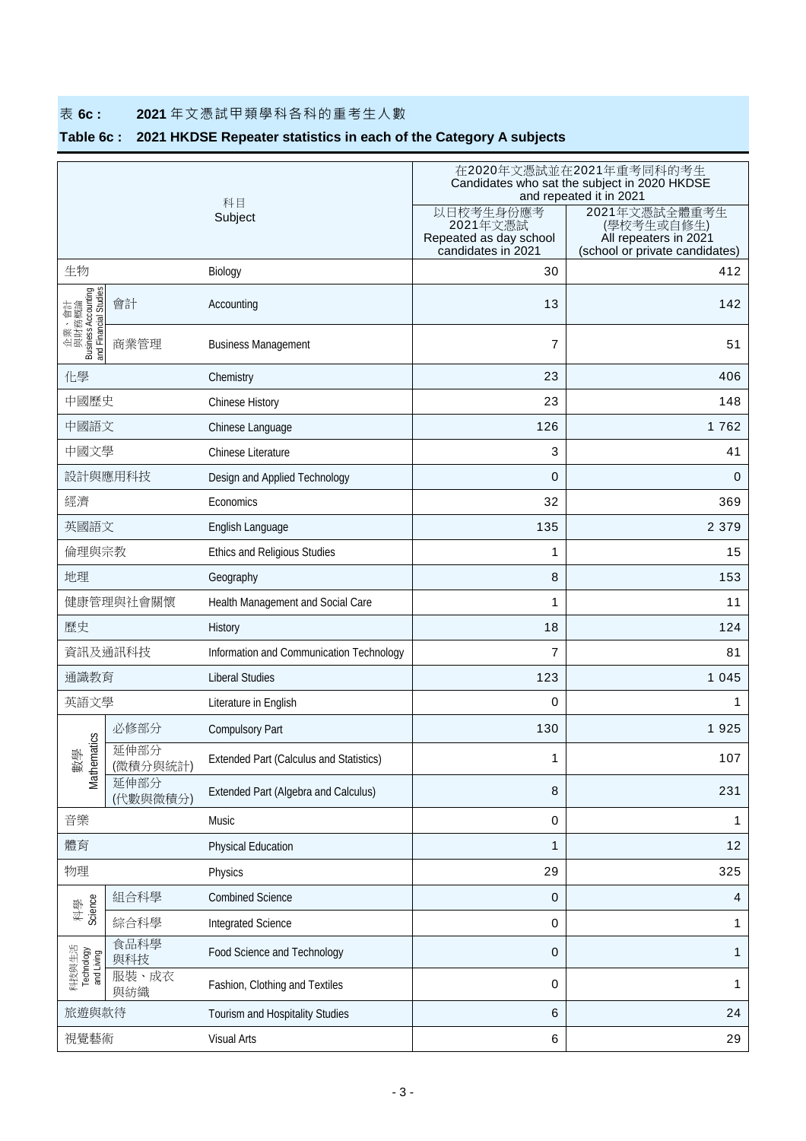# 表 **6c : 2021** 年文憑試甲類學科各科的重考生人數

# **Table 6c : 2021 HKDSE Repeater statistics in each of the Category A subjects**

|                                                                |                  | 科目                                             | 在2020年文憑試並在2021年重考同科的考生<br>Candidates who sat the subject in 2020 HKDSE<br>and repeated it in 2021 |                                                                                        |  |  |  |
|----------------------------------------------------------------|------------------|------------------------------------------------|----------------------------------------------------------------------------------------------------|----------------------------------------------------------------------------------------|--|--|--|
|                                                                |                  | Subject                                        | 以日校考生身份應考<br>2021年文憑試<br>Repeated as day school<br>candidates in 2021                              | 2021年文憑試全體重考生<br>(學校考生或自修生)<br>All repeaters in 2021<br>(school or private candidates) |  |  |  |
| 生物                                                             |                  | Biology                                        | 30                                                                                                 | 412                                                                                    |  |  |  |
| 企業、會計<br>與財務概論<br>Business Accounting<br>and Financial Studies | 會計               | Accounting                                     | 13                                                                                                 | 142                                                                                    |  |  |  |
|                                                                | 商業管理             | <b>Business Management</b>                     | $\overline{7}$                                                                                     | 51                                                                                     |  |  |  |
| 化學                                                             |                  | Chemistry                                      | 23                                                                                                 | 406                                                                                    |  |  |  |
| 中國歷史                                                           |                  | Chinese History                                | 23                                                                                                 | 148                                                                                    |  |  |  |
| 中國語文                                                           |                  | Chinese Language                               | 126                                                                                                | 1762                                                                                   |  |  |  |
| 中國文學                                                           |                  | Chinese Literature                             | 3                                                                                                  | 41                                                                                     |  |  |  |
|                                                                | 設計與應用科技          | Design and Applied Technology                  | 0                                                                                                  | 0                                                                                      |  |  |  |
| 經濟                                                             |                  | Economics                                      | 32                                                                                                 | 369                                                                                    |  |  |  |
| 英國語文                                                           |                  | English Language                               | 135                                                                                                | 2 3 7 9                                                                                |  |  |  |
| 倫理與宗教                                                          |                  | Ethics and Religious Studies                   | 1                                                                                                  | 15                                                                                     |  |  |  |
| 地理                                                             |                  | Geography                                      | 8                                                                                                  | 153                                                                                    |  |  |  |
| 健康管理與社會關懷                                                      |                  | Health Management and Social Care              | 1                                                                                                  | 11                                                                                     |  |  |  |
| 歷史                                                             |                  | History                                        | 18                                                                                                 | 124                                                                                    |  |  |  |
|                                                                | 資訊及通訊科技          | Information and Communication Technology       | 7                                                                                                  | 81                                                                                     |  |  |  |
| 通識教育                                                           |                  | <b>Liberal Studies</b>                         | 123                                                                                                | 1 0 4 5                                                                                |  |  |  |
| 英語文學                                                           |                  | Literature in English                          | 0                                                                                                  | 1                                                                                      |  |  |  |
|                                                                | 必修部分             | <b>Compulsory Part</b>                         | 130                                                                                                | 1925                                                                                   |  |  |  |
| matics<br>學<br>數<br>Mather                                     | 延伸部分<br>(微積分與統計) | <b>Extended Part (Calculus and Statistics)</b> | 1                                                                                                  | 107                                                                                    |  |  |  |
|                                                                | 延伸部分<br>(代數與微積分) | <b>Extended Part (Algebra and Calculus)</b>    | 8                                                                                                  | 231                                                                                    |  |  |  |
| 音樂                                                             |                  | Music                                          | 0                                                                                                  | 1                                                                                      |  |  |  |
| 體育                                                             |                  | <b>Physical Education</b>                      | $\mathbf{1}$                                                                                       | 12                                                                                     |  |  |  |
| 物理                                                             |                  | Physics                                        | 29                                                                                                 | 325                                                                                    |  |  |  |
| Science<br>科學                                                  | 組合科學             | <b>Combined Science</b>                        | 0                                                                                                  | $\overline{\mathbf{4}}$                                                                |  |  |  |
|                                                                | 綜合科學             | <b>Integrated Science</b>                      | 0                                                                                                  | 1                                                                                      |  |  |  |
| 科技與生活<br>Technology<br>and Living                              | 食品科學<br>與科技      | Food Science and Technology                    | 0                                                                                                  | 1                                                                                      |  |  |  |
|                                                                | 服裝、成衣<br>與紡織     | Fashion, Clothing and Textiles                 | 0                                                                                                  | 1                                                                                      |  |  |  |
| 旅遊與款待                                                          |                  | Tourism and Hospitality Studies                | 6                                                                                                  | 24                                                                                     |  |  |  |
| 視覺藝術                                                           |                  | <b>Visual Arts</b>                             | 6                                                                                                  | 29                                                                                     |  |  |  |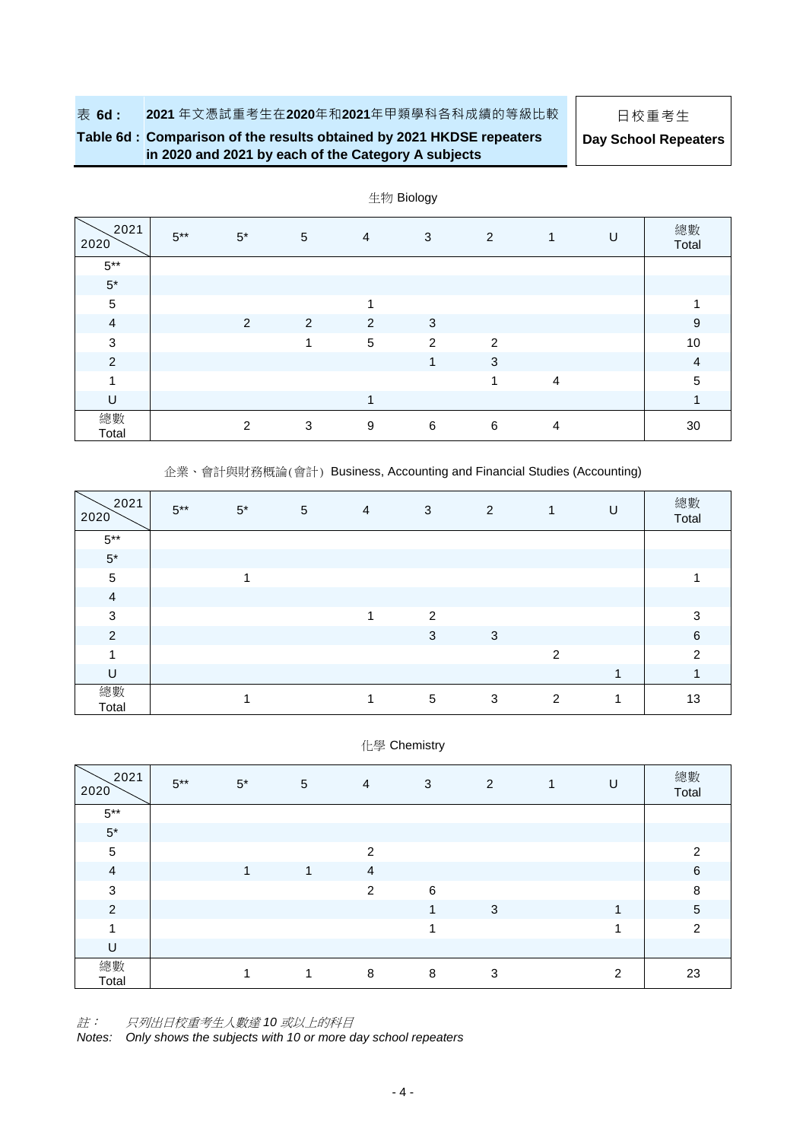### **Table 6d : Comparison of the results obtained by 2021 HKDSE repeaters in 2020 and 2021 by each of the Category A subjects**

| in 2020 and 2021 by each of the Category A subjects |  |
|-----------------------------------------------------|--|
|-----------------------------------------------------|--|

| Day School Repeaters |  |
|----------------------|--|
|----------------------|--|

| 2021<br>2020   | $5***$ | $5^*$          | 5 | $\overline{4}$ | 3 | 2                       | 1              | U | 總數<br>Total             |
|----------------|--------|----------------|---|----------------|---|-------------------------|----------------|---|-------------------------|
| $5***$         |        |                |   |                |   |                         |                |   |                         |
| $5^{\ast}$     |        |                |   |                |   |                         |                |   |                         |
| 5              |        |                |   | 1              |   |                         |                |   |                         |
| $\overline{a}$ |        | 2              | 2 | 2              | 3 |                         |                |   | 9                       |
| 3              |        |                | 4 | 5              | 2 | 2                       |                |   | 10                      |
| 2              |        |                |   |                | 1 | 3                       |                |   | $\overline{4}$          |
| и              |        |                |   |                |   | $\overline{\mathbf{A}}$ | $\overline{4}$ |   | 5                       |
| U              |        |                |   | 1              |   |                         |                |   | $\overline{\mathbf{A}}$ |
| 總數<br>Total    |        | $\overline{2}$ | 3 | 9              | 6 | 6                       | 4              |   | 30                      |

生物 Biology

企業、會計與財務概論(會計) Business, Accounting and Financial Studies (Accounting)

| 2021<br>2020   | $5***$ | $5^*$ | 5 | $\overline{4}$ | 3 | 2 | 1 | U | 總數<br>Total   |
|----------------|--------|-------|---|----------------|---|---|---|---|---------------|
| $5***$         |        |       |   |                |   |   |   |   |               |
| $5^\star$      |        |       |   |                |   |   |   |   |               |
| $\overline{5}$ |        |       |   |                |   |   |   |   |               |
| $\overline{4}$ |        |       |   |                |   |   |   |   |               |
| 3              |        |       |   | 1              | 2 |   |   |   | 3             |
| 2              |        |       |   |                | 3 | 3 |   |   | 6             |
| 4              |        |       |   |                |   |   | 2 |   | $\mathcal{P}$ |
| U              |        |       |   |                |   |   |   |   |               |
| 總數<br>Total    |        |       |   |                | 5 | 3 | 2 |   | 13            |

化學 Chemistry

| 2021<br>2020   | $5***$ | $5^*$ | 5 | 4 | $\sqrt{3}$ | $\overline{2}$ | U              | 總數<br>Total    |
|----------------|--------|-------|---|---|------------|----------------|----------------|----------------|
| $5^{\ast\ast}$ |        |       |   |   |            |                |                |                |
| $5^\star$      |        |       |   |   |            |                |                |                |
| $\overline{5}$ |        |       |   | 2 |            |                |                | 2              |
| $\overline{4}$ |        | 1     | 1 | 4 |            |                |                | $\,6\,$        |
| 3              |        |       |   | 2 | 6          |                |                | 8              |
| $\overline{2}$ |        |       |   |   | 1          | 3              | 4              | $\sqrt{5}$     |
| 4              |        |       |   |   |            |                | и              | $\overline{2}$ |
| U              |        |       |   |   |            |                |                |                |
| 總數<br>Total    |        |       |   | 8 | 8          | 3              | $\overline{2}$ | 23             |

註: 只列出日校重考生人數達 *10* 或以上的科目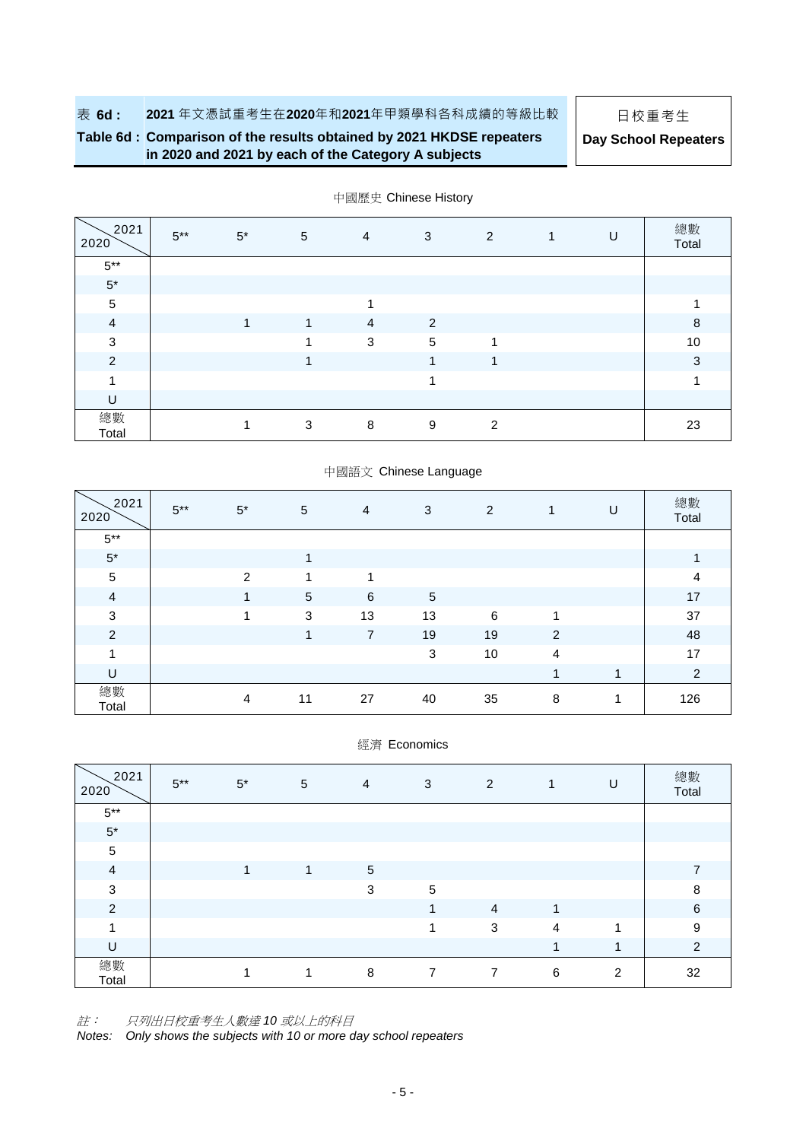### **Table 6d : Comparison of the results obtained by 2021 HKDSE repeaters in 2020 and 2021 by each of the Category A subjects**

**Day School Repeaters**

| 2021<br>2020   | $5***$ | $5^*$ | 5            | 4                       | 3          | 2 | U | 總數<br>Total |
|----------------|--------|-------|--------------|-------------------------|------------|---|---|-------------|
| $5^{\ast\ast}$ |        |       |              |                         |            |   |   |             |
| $5^\star$      |        |       |              |                         |            |   |   |             |
| $\sqrt{5}$     |        |       |              | $\overline{\mathbf{A}}$ |            |   |   |             |
| $\overline{4}$ |        | 1     | $\mathbf{1}$ | $\overline{4}$          | 2          |   |   | 8           |
| 3              |        |       |              | 3                       | $\sqrt{5}$ | 1 |   | 10          |
| $\overline{2}$ |        |       |              |                         | 1          | 4 |   | 3           |
|                |        |       |              |                         |            |   |   |             |
| U              |        |       |              |                         |            |   |   |             |
| 總數<br>Total    |        |       | 3            | 8                       | 9          | 2 |   | 23          |

中國歷史 Chinese History

| 2021<br>2020   | $5***$ | $5*$ | 5          | $\overline{4}$ | 3          | 2  | $\overline{1}$ | U | 總數<br>Total    |
|----------------|--------|------|------------|----------------|------------|----|----------------|---|----------------|
| $5***$         |        |      |            |                |            |    |                |   |                |
| $5*$           |        |      | 1          |                |            |    |                |   |                |
| $\sqrt{5}$     |        | 2    | 1          | 1              |            |    |                |   | 4              |
| $\overline{4}$ |        | 1    | $\sqrt{5}$ | 6              | $\sqrt{5}$ |    |                |   | 17             |
| $\sqrt{3}$     |        | ٠    | 3          | 13             | 13         | 6  | 1              |   | 37             |
| $\overline{c}$ |        |      | 1          | 7              | 19         | 19 | 2              |   | 48             |
| 1              |        |      |            |                | 3          | 10 | $\overline{4}$ |   | 17             |
| U              |        |      |            |                |            |    | 1              | 1 | $\overline{2}$ |
| 總數<br>Total    |        | 4    | 11         | 27             | 40         | 35 | 8              | 4 | 126            |

經濟 Economics

| 2021<br>2020   | $5***$ | $5^*$ | 5            | $\overline{4}$  | 3              | $\overline{2}$ |                         | U              | 總數<br>Total    |
|----------------|--------|-------|--------------|-----------------|----------------|----------------|-------------------------|----------------|----------------|
| $5^{\ast\ast}$ |        |       |              |                 |                |                |                         |                |                |
| $5^\star$      |        |       |              |                 |                |                |                         |                |                |
| $\overline{5}$ |        |       |              |                 |                |                |                         |                |                |
| $\overline{a}$ |        | 1     | $\mathbf{1}$ | $5\phantom{.0}$ |                |                |                         |                | $\overline{7}$ |
| 3              |        |       |              | 3               | 5              |                |                         |                | 8              |
| 2              |        |       |              |                 | 1              | $\overline{4}$ | 1                       |                | 6              |
| A              |        |       |              |                 |                | 3              | $\overline{4}$          | 4              | 9              |
| U              |        |       |              |                 |                |                | $\overline{\mathbf{A}}$ | 1              | $\overline{2}$ |
| 總數<br>Total    |        |       |              | 8               | $\overline{7}$ | $\overline{7}$ | 6                       | $\overline{2}$ | 32             |

註: 只列出日校重考生人數達 *10* 或以上的科目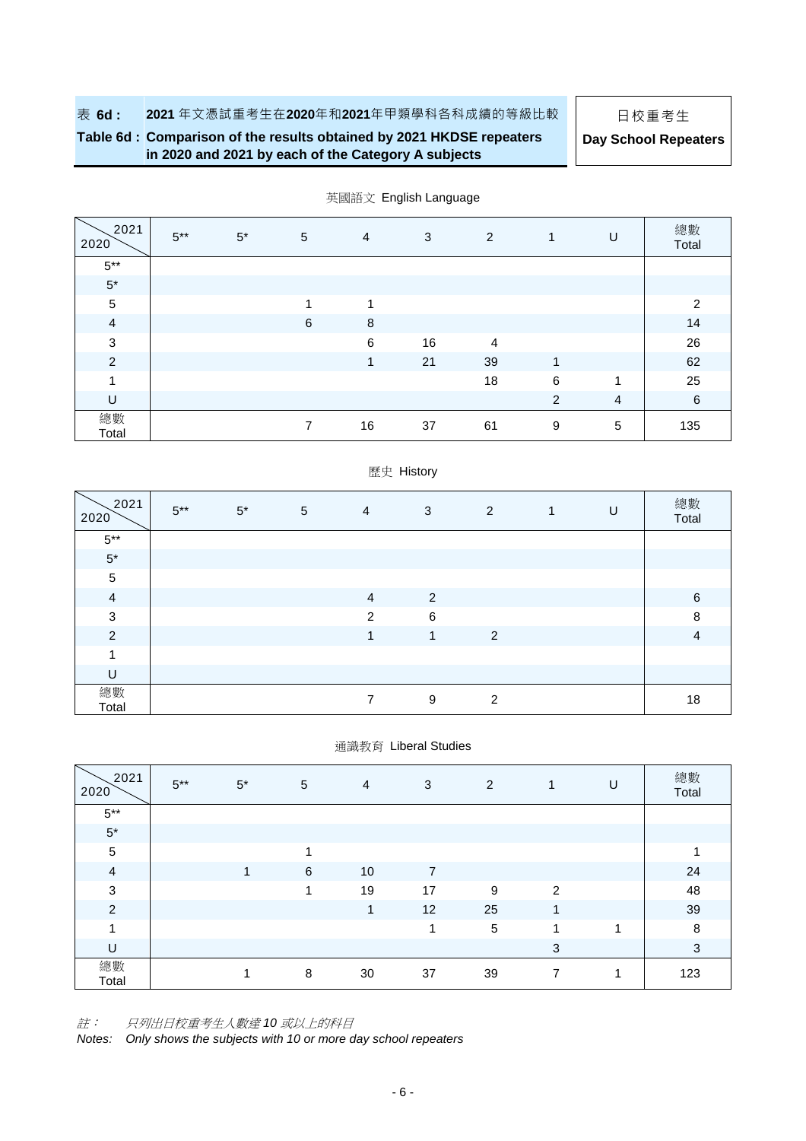### **Table 6d : Comparison of the results obtained by 2021 HKDSE repeaters in 2020 and 2021 by each of the Category A subjects**

**Day School Repeaters**

| 2021<br>2020   | $5***$ | $5*$ | $\overline{5}$ | $\overline{4}$ | 3  | 2              | $\mathbf{1}$ | U                       | 總數<br>Total |
|----------------|--------|------|----------------|----------------|----|----------------|--------------|-------------------------|-------------|
| $5***$         |        |      |                |                |    |                |              |                         |             |
| $5^\star$      |        |      |                |                |    |                |              |                         |             |
| $\sqrt{5}$     |        |      | 4              | 1              |    |                |              |                         | 2           |
| $\overline{4}$ |        |      | 6              | $\,8\,$        |    |                |              |                         | 14          |
| $\mathbf{3}$   |        |      |                | 6              | 16 | $\overline{4}$ |              |                         | 26          |
| $\overline{2}$ |        |      |                | 1              | 21 | 39             | $\mathbf{1}$ |                         | 62          |
| 1              |        |      |                |                |    | 18             | 6            | $\overline{\mathbf{A}}$ | 25          |
| U              |        |      |                |                |    |                | 2            | 4                       | 6           |
| 總數<br>Total    |        |      | 7              | 16             | 37 | 61             | 9            | 5                       | 135         |

英國語文 English Language

### 歷史 History

| 2021<br>2020   | $5***$ | $5^*$ | $\overline{5}$ | $\overline{4}$ | 3           | 2 | 1 | U | 總數<br>Total    |
|----------------|--------|-------|----------------|----------------|-------------|---|---|---|----------------|
| $5***$         |        |       |                |                |             |   |   |   |                |
| $5*$           |        |       |                |                |             |   |   |   |                |
| $\sqrt{5}$     |        |       |                |                |             |   |   |   |                |
| $\overline{a}$ |        |       |                | $\overline{4}$ | 2           |   |   |   | 6              |
| $\sqrt{3}$     |        |       |                | $\overline{2}$ | 6           |   |   |   | 8              |
| $\overline{2}$ |        |       |                | $\overline{1}$ | $\mathbf 1$ | 2 |   |   | $\overline{4}$ |
| 4              |        |       |                |                |             |   |   |   |                |
| U              |        |       |                |                |             |   |   |   |                |
| 總數<br>Total    |        |       |                | ⇁              | 9           | 2 |   |   | 18             |

#### 通識教育 Liberal Studies

| 2021<br>2020   | $5***$ | $5^*$ | 5 | $\overline{4}$ | 3              | $\overline{2}$ | $\mathbf{1}$ | U | 總數<br>Total |
|----------------|--------|-------|---|----------------|----------------|----------------|--------------|---|-------------|
| $5^{\ast\ast}$ |        |       |   |                |                |                |              |   |             |
| $5^\star$      |        |       |   |                |                |                |              |   |             |
| $\mathbf 5$    |        |       | 1 |                |                |                |              |   |             |
| $\overline{4}$ |        |       | 6 | 10             | $\overline{7}$ |                |              |   | 24          |
| $\sqrt{3}$     |        |       | 1 | 19             | 17             | 9              | 2            |   | 48          |
| $\overline{2}$ |        |       |   | 1              | 12             | 25             | 1            |   | 39          |
| 1              |        |       |   |                | 1              | 5              | 1            | 1 | 8           |
| U              |        |       |   |                |                |                | 3            |   | $\sqrt{3}$  |
| 總數<br>Total    |        |       | 8 | 30             | 37             | 39             | 7            | 4 | 123         |

註: 只列出日校重考生人數達 *10* 或以上的科目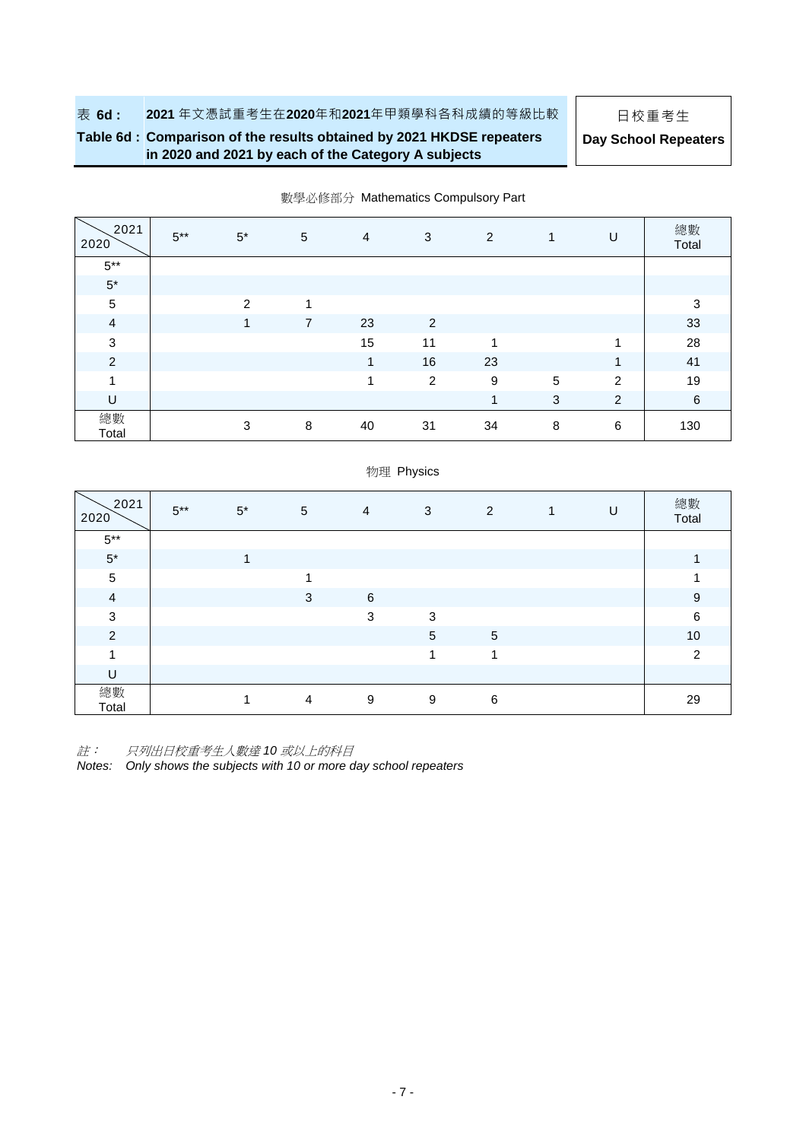### **Table 6d : Comparison of the results obtained by 2021 HKDSE repeaters in 2020 and 2021 by each of the Category A subjects**

**Day School Repeaters**

| 2021<br>2020   | $5***$ | $5^*$ | $\sqrt{5}$     | $\overline{4}$ | 3              | $\overline{2}$ | $\mathbf{1}$ | U              | 總數<br>Total |
|----------------|--------|-------|----------------|----------------|----------------|----------------|--------------|----------------|-------------|
| $5***$         |        |       |                |                |                |                |              |                |             |
| $5^{\ast}$     |        |       |                |                |                |                |              |                |             |
| $\sqrt{5}$     |        | 2     | 1              |                |                |                |              |                | 3           |
| $\overline{4}$ |        | 1     | $\overline{7}$ | 23             | 2              |                |              |                | 33          |
| $\sqrt{3}$     |        |       |                | 15             | 11             | 1              |              | -1             | 28          |
| $\overline{2}$ |        |       |                | 1              | 16             | 23             |              | 1              | 41          |
| 1              |        |       |                | 1              | $\overline{2}$ | 9              | $\sqrt{5}$   | $\overline{2}$ | 19          |
| $\cup$         |        |       |                |                |                | 1              | 3            | 2              | $\,6\,$     |
| 總數<br>Total    |        | 3     | 8              | 40             | 31             | 34             | 8            | 6              | 130         |

物理 Physics

#### 數學必修部分 Mathematics Compulsory Part

| 2021<br>2020             | $5***$ | $5^*$ | $5\phantom{.0}$ | $\overline{4}$ | 3 | 2 | 1 | U | 總數<br>Total    |
|--------------------------|--------|-------|-----------------|----------------|---|---|---|---|----------------|
| $5***$                   |        |       |                 |                |   |   |   |   |                |
| $5^*$                    |        |       |                 |                |   |   |   |   |                |
| 5                        |        |       | и               |                |   |   |   |   |                |
| $\overline{4}$           |        |       | 3               | 6              |   |   |   |   | 9              |
| 3                        |        |       |                 | 3              | 3 |   |   |   | 6              |
| 2                        |        |       |                 |                | 5 | 5 |   |   | 10             |
| $\overline{\phantom{a}}$ |        |       |                 |                |   | 4 |   |   | $\mathfrak{p}$ |
| U                        |        |       |                 |                |   |   |   |   |                |
| 總數<br>Total              |        |       | 4               | 9              | 9 | 6 |   |   | 29             |

註: 只列出日校重考生人數達 *10* 或以上的科目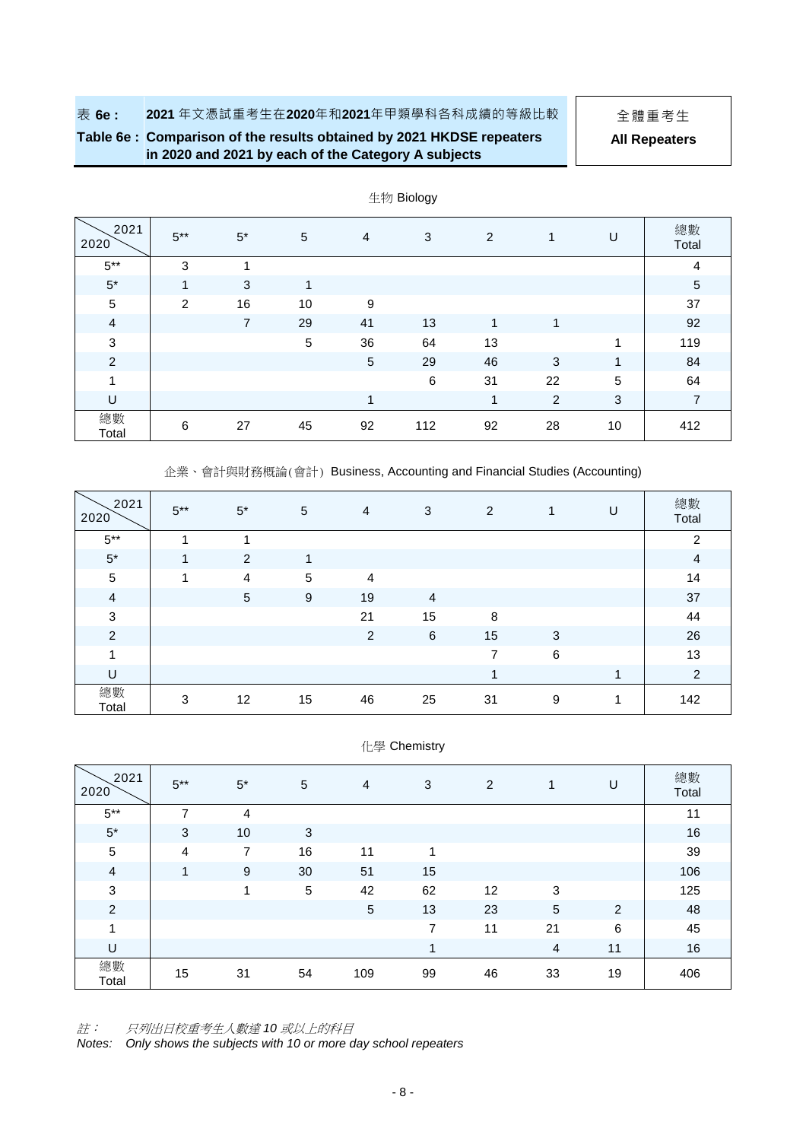**Table 6e : Comparison of the results obtained by 2021 HKDSE repeaters in 2020 and 2021 by each of the Category A subjects**

**All Repeaters**

|                |              |                |              |                | رن - - - - - س |    |                |              |                |
|----------------|--------------|----------------|--------------|----------------|----------------|----|----------------|--------------|----------------|
| 2021<br>2020   | $5***$       | $5^*$          | 5            | $\overline{4}$ | 3              | 2  | 1              | U            | 總數<br>Total    |
| $5***$         | $\mathbf{3}$ | 4              |              |                |                |    |                |              | 4              |
| $5^*$          | $\mathbf 1$  | 3              | $\mathbf{1}$ |                |                |    |                |              | $\overline{5}$ |
| $\sqrt{5}$     | 2            | 16             | 10           | 9              |                |    |                |              | 37             |
| $\overline{4}$ |              | $\overline{7}$ | 29           | 41             | 13             | 1  | 1              |              | 92             |
| $\mathfrak{S}$ |              |                | 5            | 36             | 64             | 13 |                | 1            | 119            |
| $\overline{2}$ |              |                |              | 5              | 29             | 46 | 3              | 1            | 84             |
| 1              |              |                |              |                | 6              | 31 | 22             | 5            | 64             |
| U              |              |                |              | 1              |                | 1  | $\overline{2}$ | $\mathbf{3}$ | $\overline{7}$ |
| 總數<br>Total    | 6            | 27             | 45           | 92             | 112            | 92 | 28             | 10           | 412            |

生物 Biology

企業、會計與財務概論(會計) Business, Accounting and Financial Studies (Accounting)

| 2021<br>2020   | $5***$ | $5*$           | 5  | $\overline{4}$ | 3              | 2  | 1       | U | 總數<br>Total    |
|----------------|--------|----------------|----|----------------|----------------|----|---------|---|----------------|
| $5***$         |        |                |    |                |                |    |         |   | $\overline{c}$ |
| $5*$           | 1      | 2              | 1  |                |                |    |         |   | $\overline{4}$ |
| $\sqrt{5}$     | и      | $\overline{4}$ | 5  | 4              |                |    |         |   | 14             |
| $\overline{4}$ |        | 5              | 9  | 19             | $\overline{4}$ |    |         |   | 37             |
| $\sqrt{3}$     |        |                |    | 21             | 15             | 8  |         |   | 44             |
| $\overline{2}$ |        |                |    | 2              | $\,6$          | 15 | 3       |   | 26             |
| 1              |        |                |    |                |                | 7  | $\,6\,$ |   | 13             |
| U              |        |                |    |                |                | 4  |         | 1 | $\overline{2}$ |
| 總數<br>Total    | 3      | 12             | 15 | 46             | 25             | 31 | 9       | 1 | 142            |

| 化學 Chemistry |  |
|--------------|--|
|--------------|--|

| 2021<br>2020   | $5***$         | $5*$           | 5  | 4   | 3  | 2  | $\mathbf{1}$   | U              | 總數<br>Total |
|----------------|----------------|----------------|----|-----|----|----|----------------|----------------|-------------|
| $5***$         | $\overline{ }$ | $\overline{4}$ |    |     |    |    |                |                | 11          |
| $5*$           | 3              | 10             | 3  |     |    |    |                |                | 16          |
| $\mathbf 5$    | $\overline{4}$ | 7              | 16 | 11  | 1  |    |                |                | 39          |
| $\overline{4}$ | 1              | 9              | 30 | 51  | 15 |    |                |                | 106         |
| $\sqrt{3}$     |                | 4              | 5  | 42  | 62 | 12 | 3              |                | 125         |
| $\overline{c}$ |                |                |    | 5   | 13 | 23 | $\overline{5}$ | $\overline{2}$ | 48          |
| 1              |                |                |    |     | 7  | 11 | 21             | 6              | 45          |
| U              |                |                |    |     | 1  |    | 4              | 11             | 16          |
| 總數<br>Total    | 15             | 31             | 54 | 109 | 99 | 46 | 33             | 19             | 406         |

註: 只列出日校重考生人數達 *10* 或以上的科目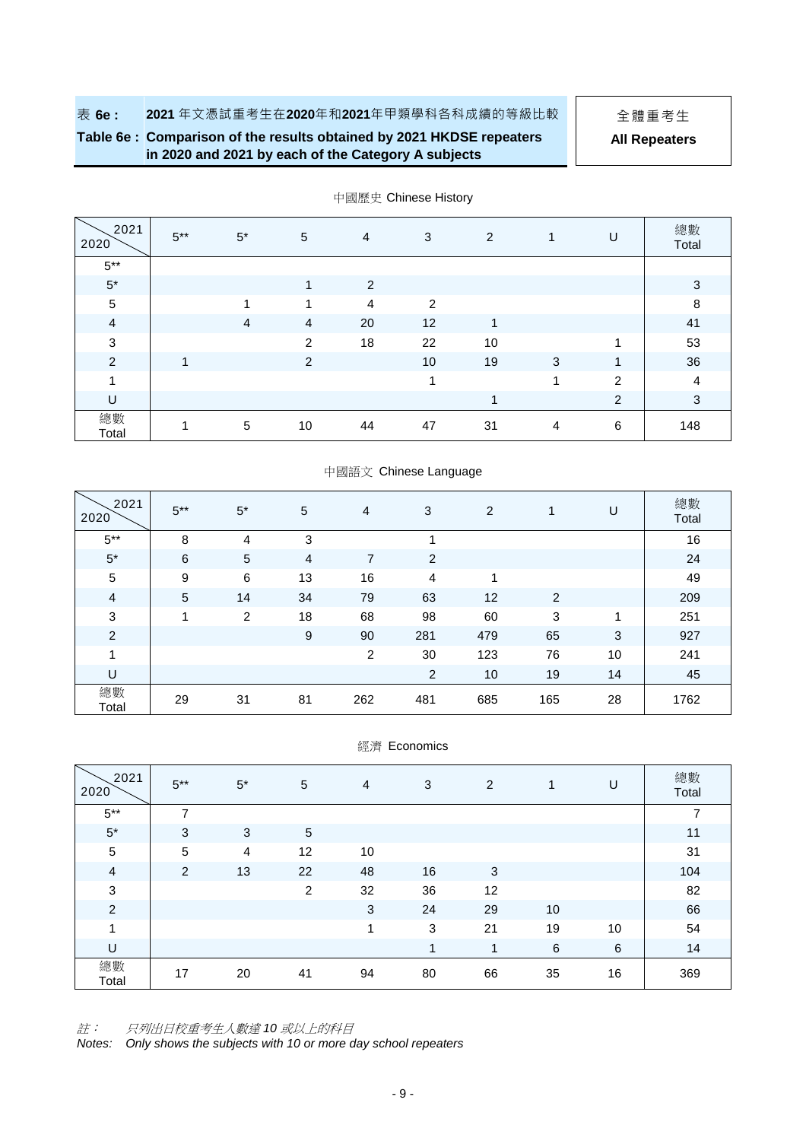## **Table 6e : Comparison of the results obtained by 2021 HKDSE repeaters in 2020 and 2021 by each of the Category A subjects**

**All Repeaters**

| 2021<br>2020   | $5***$ | $5*$           | 5                       | $\overline{4}$ | 3              | 2  | 1              | U | 總數<br>Total    |
|----------------|--------|----------------|-------------------------|----------------|----------------|----|----------------|---|----------------|
| $5^{\ast\ast}$ |        |                |                         |                |                |    |                |   |                |
| $5*$           |        |                | $\overline{\mathbf{A}}$ | $\overline{2}$ |                |    |                |   | 3              |
| $\sqrt{5}$     |        | 1              | 4                       | 4              | $\overline{2}$ |    |                |   | 8              |
| $\overline{4}$ |        | $\overline{4}$ | $\overline{4}$          | 20             | 12             | 1  |                |   | 41             |
| 3              |        |                | 2                       | 18             | 22             | 10 |                | 4 | 53             |
| $\overline{c}$ | 4      |                | 2                       |                | 10             | 19 | 3              | 1 | 36             |
| 1              |        |                |                         |                | 1              |    | 1              | 2 | $\overline{4}$ |
| U              |        |                |                         |                |                |    |                | 2 | 3              |
| 總數<br>Total    |        | 5              | 10                      | 44             | 47             | 31 | $\overline{4}$ | 6 | 148            |

中國歷史 Chinese History

|  | 中國語文 Chinese Language |
|--|-----------------------|
|--|-----------------------|

| 2021<br>2020   | $5***$ | $5*$ | 5  | 4              | 3              | 2   | 1   | U  | 總數<br>Total |
|----------------|--------|------|----|----------------|----------------|-----|-----|----|-------------|
| $5***$         | 8      | 4    | 3  |                | 4              |     |     |    | 16          |
| $5*$           | 6      | 5    | 4  | 7              | 2              |     |     |    | 24          |
| 5              | 9      | 6    | 13 | 16             | 4              | 4   |     |    | 49          |
| 4              | 5      | 14   | 34 | 79             | 63             | 12  | 2   |    | 209         |
| 3              | 4      | 2    | 18 | 68             | 98             | 60  | 3   | 1  | 251         |
| $\overline{2}$ |        |      | 9  | 90             | 281            | 479 | 65  | 3  | 927         |
| 1              |        |      |    | $\overline{2}$ | 30             | 123 | 76  | 10 | 241         |
| U              |        |      |    |                | $\overline{c}$ | 10  | 19  | 14 | 45          |
| 總數<br>Total    | 29     | 31   | 81 | 262            | 481            | 685 | 165 | 28 | 1762        |

| 經濟 Economics |  |
|--------------|--|
|              |  |

| 2021<br>2020   | $5***$         | $5*$ | 5          | 4  | 3  | $\overline{2}$ | 1  | U               | 總數<br>Total    |
|----------------|----------------|------|------------|----|----|----------------|----|-----------------|----------------|
| $5***$         | $\overline{ }$ |      |            |    |    |                |    |                 | $\overline{ }$ |
| $5*$           | 3              | 3    | $\sqrt{5}$ |    |    |                |    |                 | 11             |
| $\sqrt{5}$     | 5              | 4    | 12         | 10 |    |                |    |                 | 31             |
| $\overline{4}$ | 2              | 13   | 22         | 48 | 16 | 3              |    |                 | 104            |
| 3              |                |      | 2          | 32 | 36 | 12             |    |                 | 82             |
| $\overline{2}$ |                |      |            | 3  | 24 | 29             | 10 |                 | 66             |
| 1              |                |      |            | 1  | 3  | 21             | 19 | 10              | 54             |
| U              |                |      |            |    | 1  | 1              | 6  | $6\phantom{1}6$ | 14             |
| 總數<br>Total    | 17             | 20   | 41         | 94 | 80 | 66             | 35 | 16              | 369            |

註: 只列出日校重考生人數達 *10* 或以上的科目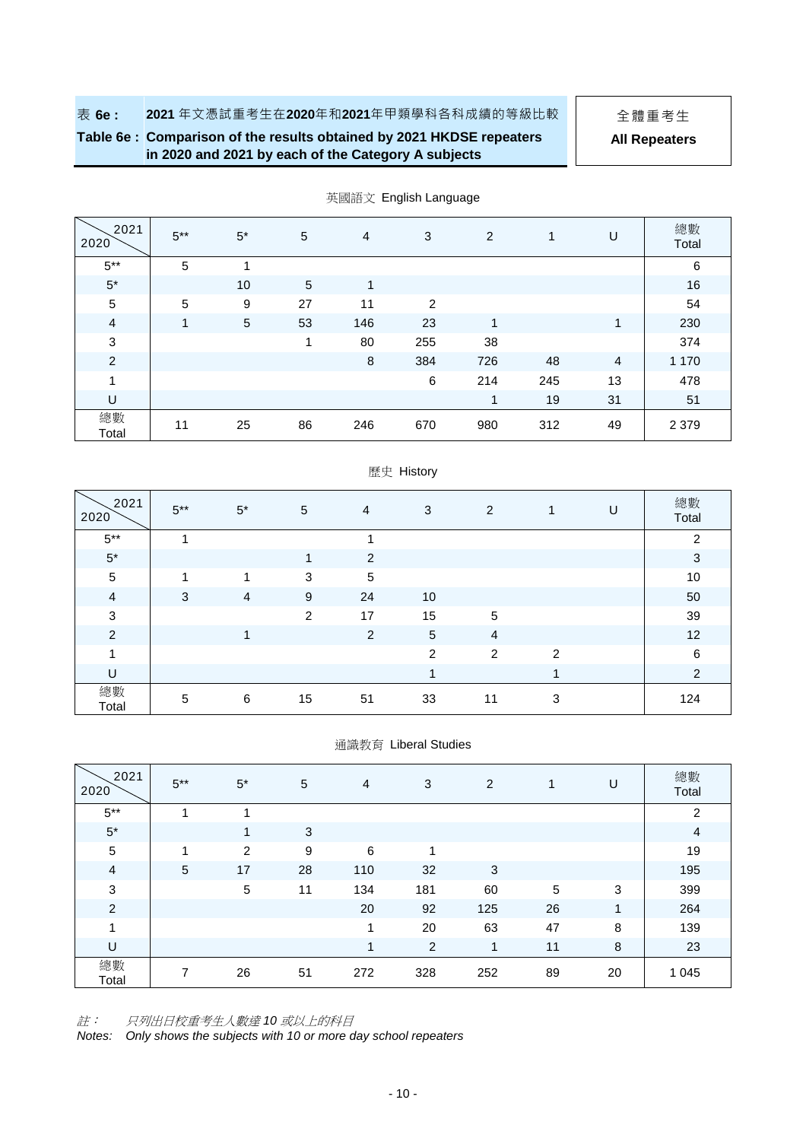### **Table 6e : Comparison of the results obtained by 2021 HKDSE repeaters in 2020 and 2021 by each of the Category A subjects**

**All Repeaters**

| 2021<br>2020   | $5***$ | $5*$ | 5  | $\overline{4}$ | 3   | $\overline{2}$ | $\mathbf{1}$ | U              | 總數<br>Total |
|----------------|--------|------|----|----------------|-----|----------------|--------------|----------------|-------------|
| $5***$         | 5      | 1    |    |                |     |                |              |                | 6           |
| $5*$           |        | 10   | 5  | $\mathbf{1}$   |     |                |              |                | 16          |
| $\sqrt{5}$     | 5      | 9    | 27 | 11             | 2   |                |              |                | 54          |
| $\overline{4}$ | 1      | 5    | 53 | 146            | 23  | 1              |              | 1              | 230         |
| $\sqrt{3}$     |        |      | 1  | 80             | 255 | 38             |              |                | 374         |
| $\overline{2}$ |        |      |    | 8              | 384 | 726            | 48           | $\overline{4}$ | 1 1 7 0     |
| 1              |        |      |    |                | 6   | 214            | 245          | 13             | 478         |
| U              |        |      |    |                |     | 1              | 19           | 31             | 51          |
| 總數<br>Total    | 11     | 25   | 86 | 246            | 670 | 980            | 312          | 49             | 2 3 7 9     |

英國語文 English Language

### 歷史 History

| 2021<br>2020   | $5***$ | $5^*$          | 5  | $\overline{4}$ | 3                       | 2              | $\mathbf{1}$ | U | 總數<br>Total |
|----------------|--------|----------------|----|----------------|-------------------------|----------------|--------------|---|-------------|
| $5***$         |        |                |    | и              |                         |                |              |   | 2           |
| $5*$           |        |                | 1  | 2              |                         |                |              |   | $\sqrt{3}$  |
| $\sqrt{5}$     |        | 4              | 3  | 5              |                         |                |              |   | 10          |
| $\overline{4}$ | 3      | $\overline{4}$ | 9  | 24             | 10                      |                |              |   | 50          |
| $\sqrt{3}$     |        |                | 2  | 17             | 15                      | $\sqrt{5}$     |              |   | 39          |
| $\overline{2}$ |        | 1              |    | 2              | $\overline{5}$          | $\overline{4}$ |              |   | 12          |
| 4              |        |                |    |                | 2                       | $\overline{2}$ | 2            |   | $\,6\,$     |
| U              |        |                |    |                | $\overline{\mathbf{A}}$ |                | 1            |   | 2           |
| 總數<br>Total    | 5      | 6              | 15 | 51             | 33                      | 11             | 3            |   | 124         |

#### 通識教育 Liberal Studies

| 2021<br>2020            | $5***$ | $5*$       | 5  | 4   | 3   | 2   | 1  | U           | 總數<br>Total |
|-------------------------|--------|------------|----|-----|-----|-----|----|-------------|-------------|
| $5***$                  | и      |            |    |     |     |     |    |             | 2           |
| $5*$                    |        | 1          | 3  |     |     |     |    |             | 4           |
| $\sqrt{5}$              | и      | 2          | 9  | 6   | и   |     |    |             | 19          |
| $\overline{a}$          | 5      | 17         | 28 | 110 | 32  | 3   |    |             | 195         |
| $\mathsf 3$             |        | $\sqrt{5}$ | 11 | 134 | 181 | 60  | 5  | 3           | 399         |
| $\overline{c}$          |        |            |    | 20  | 92  | 125 | 26 | $\mathbf 1$ | 264         |
| $\overline{\mathbf{A}}$ |        |            |    | 4   | 20  | 63  | 47 | 8           | 139         |
| U                       |        |            |    | 1   | 2   | 1   | 11 | 8           | 23          |
| 總數<br>Total             | 7      | 26         | 51 | 272 | 328 | 252 | 89 | 20          | 1 0 4 5     |

註: 只列出日校重考生人數達 *10* 或以上的科目